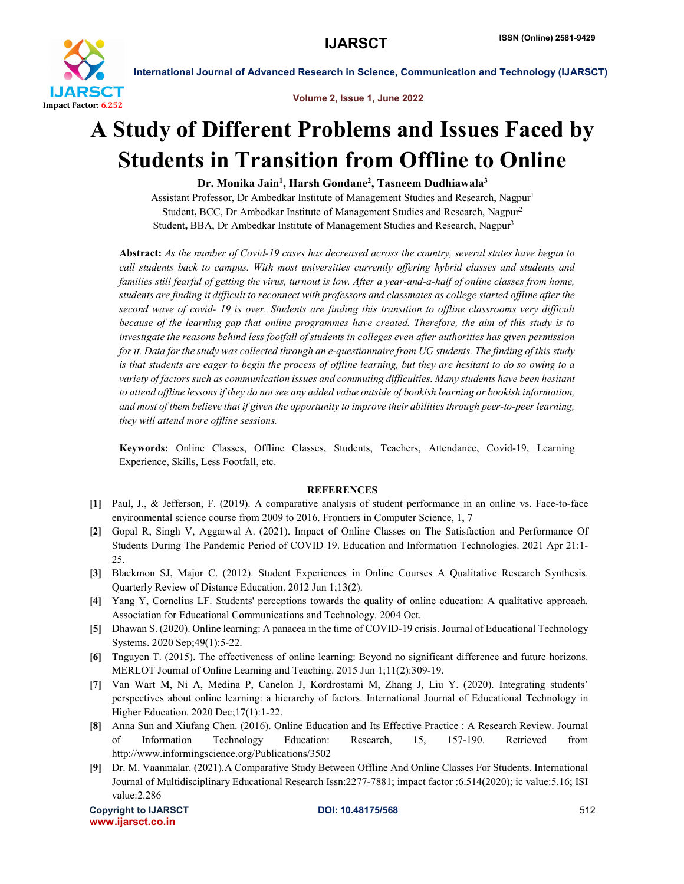

International Journal of Advanced Research in Science, Communication and Technology (IJARSCT)

Volume 2, Issue 1, June 2022

# A Study of Different Problems and Issues Faced by Students in Transition from Offline to Online

## Dr. Monika Jain<sup>1</sup>, Harsh Gondane<sup>2</sup>, Tasneem Dudhiawala<sup>3</sup>

Assistant Professor, Dr Ambedkar Institute of Management Studies and Research, Nagpur<sup>1</sup> Student, BCC, Dr Ambedkar Institute of Management Studies and Research, Nagpur2 Student, BBA, Dr Ambedkar Institute of Management Studies and Research, Nagpur<sup>3</sup>

Abstract: *As the number of Covid-19 cases has decreased across the country, several states have begun to call students back to campus. With most universities currently offering hybrid classes and students and families still fearful of getting the virus, turnout is low. After a year-and-a-half of online classes from home, students are finding it difficult to reconnect with professors and classmates as college started offline after the second wave of covid- 19 is over. Students are finding this transition to offline classrooms very difficult because of the learning gap that online programmes have created. Therefore, the aim of this study is to investigate the reasons behind less footfall of students in colleges even after authorities has given permission for it. Data for the study was collected through an e-questionnaire from UG students. The finding of this study is that students are eager to begin the process of offline learning, but they are hesitant to do so owing to a variety of factors such as communication issues and commuting difficulties. Many students have been hesitant*  to attend offline lessons if they do not see any added value outside of bookish learning or bookish information, *and most of them believe that if given the opportunity to improve their abilities through peer-to-peer learning, they will attend more offline sessions.*

Keywords: Online Classes, Offline Classes, Students, Teachers, Attendance, Covid-19, Learning Experience, Skills, Less Footfall, etc.

#### **REFERENCES**

- [1] Paul, J., & Jefferson, F. (2019). A comparative analysis of student performance in an online vs. Face-to-face environmental science course from 2009 to 2016. Frontiers in Computer Science, 1, 7
- [2] Gopal R, Singh V, Aggarwal A. (2021). Impact of Online Classes on The Satisfaction and Performance Of Students During The Pandemic Period of COVID 19. Education and Information Technologies. 2021 Apr 21:1- 25.
- [3] Blackmon SJ, Major C. (2012). Student Experiences in Online Courses A Qualitative Research Synthesis. Quarterly Review of Distance Education. 2012 Jun 1;13(2).
- [4] Yang Y, Cornelius LF. Students' perceptions towards the quality of online education: A qualitative approach. Association for Educational Communications and Technology. 2004 Oct.
- [5] Dhawan S. (2020). Online learning: A panacea in the time of COVID-19 crisis. Journal of Educational Technology Systems. 2020 Sep;49(1):5-22.
- [6] Tnguyen T. (2015). The effectiveness of online learning: Beyond no significant difference and future horizons. MERLOT Journal of Online Learning and Teaching. 2015 Jun 1;11(2):309-19.
- [7] Van Wart M, Ni A, Medina P, Canelon J, Kordrostami M, Zhang J, Liu Y. (2020). Integrating students' perspectives about online learning: a hierarchy of factors. International Journal of Educational Technology in Higher Education. 2020 Dec;17(1):1-22.
- [8] Anna Sun and Xiufang Chen. (2016). Online Education and Its Effective Practice : A Research Review. Journal of Information Technology Education: Research, 15, 157-190. Retrieved from http://www.informingscience.org/Publications/3502
- [9] Dr. M. Vaanmalar. (2021).A Comparative Study Between Offline And Online Classes For Students. International Journal of Multidisciplinary Educational Research Issn:2277-7881; impact factor :6.514(2020); ic value:5.16; ISI value:2.286